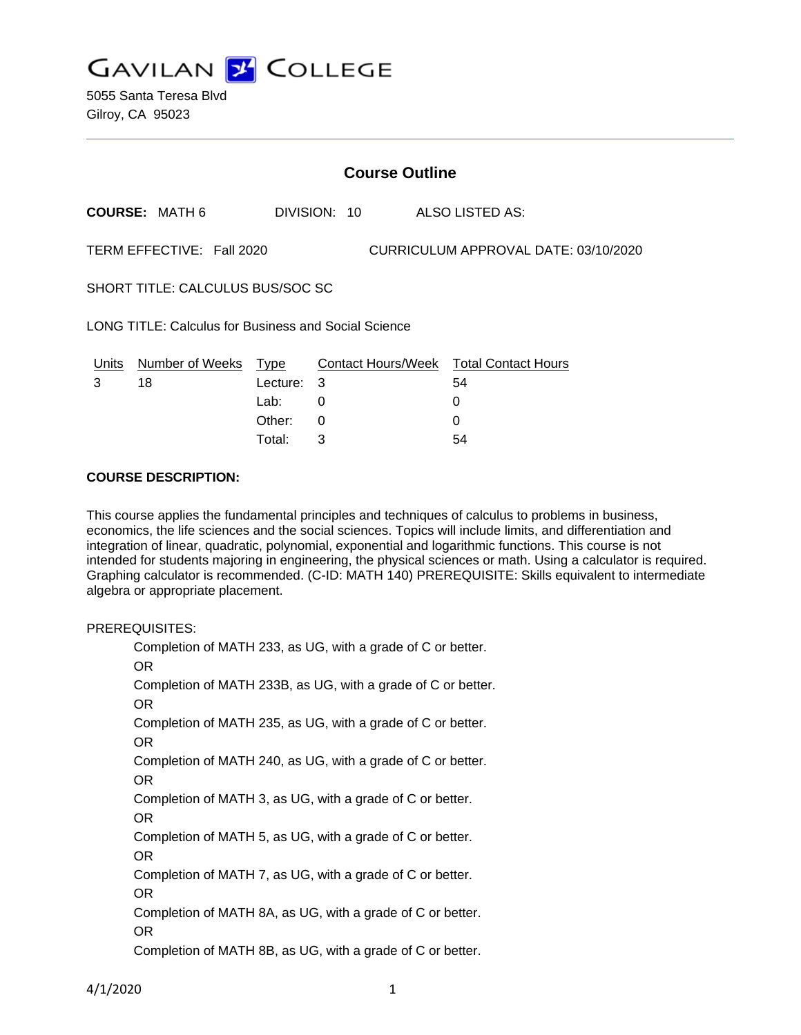

| <b>Course Outline</b>                                             |                       |                                    |              |  |                                                          |
|-------------------------------------------------------------------|-----------------------|------------------------------------|--------------|--|----------------------------------------------------------|
|                                                                   | <b>COURSE: MATH 6</b> |                                    | DIVISION: 10 |  | ALSO LISTED AS:                                          |
| TERM EFFECTIVE: Fall 2020<br>CURRICULUM APPROVAL DATE: 03/10/2020 |                       |                                    |              |  |                                                          |
| SHORT TITLE: CALCULUS BUS/SOC SC                                  |                       |                                    |              |  |                                                          |
| LONG TITLE: Calculus for Business and Social Science              |                       |                                    |              |  |                                                          |
| Units<br>3                                                        | Number of Weeks<br>18 | Type<br>Lecture:<br>Lab:<br>Other: | -3<br>0<br>0 |  | Contact Hours/Week Total Contact Hours<br>54<br>$\Omega$ |
|                                                                   |                       |                                    |              |  |                                                          |

Total: 3 54

#### **COURSE DESCRIPTION:**

This course applies the fundamental principles and techniques of calculus to problems in business, economics, the life sciences and the social sciences. Topics will include limits, and differentiation and integration of linear, quadratic, polynomial, exponential and logarithmic functions. This course is not intended for students majoring in engineering, the physical sciences or math. Using a calculator is required. Graphing calculator is recommended. (C-ID: MATH 140) PREREQUISITE: Skills equivalent to intermediate algebra or appropriate placement.

### PREREQUISITES:

Completion of MATH 233, as UG, with a grade of C or better. OR Completion of MATH 233B, as UG, with a grade of C or better. OR Completion of MATH 235, as UG, with a grade of C or better. OR Completion of MATH 240, as UG, with a grade of C or better. OR Completion of MATH 3, as UG, with a grade of C or better. OR Completion of MATH 5, as UG, with a grade of C or better. OR Completion of MATH 7, as UG, with a grade of C or better. OR Completion of MATH 8A, as UG, with a grade of C or better. OR Completion of MATH 8B, as UG, with a grade of C or better.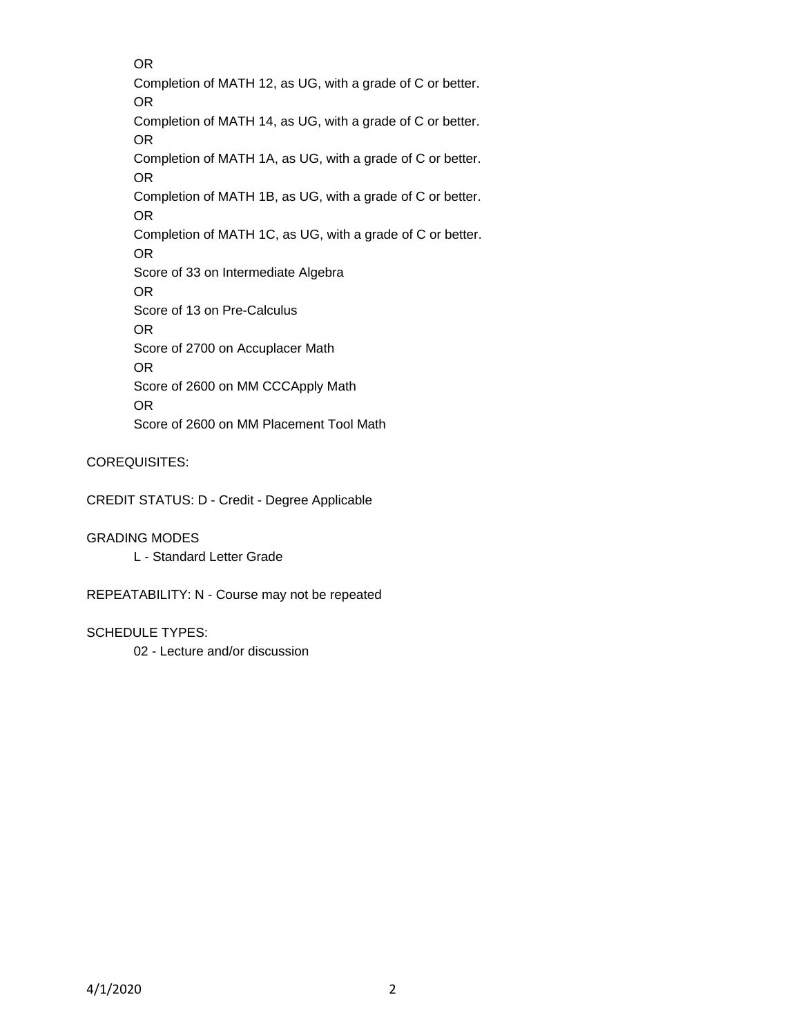OR Completion of MATH 12, as UG, with a grade of C or better. OR Completion of MATH 14, as UG, with a grade of C or better. OR Completion of MATH 1A, as UG, with a grade of C or better. OR Completion of MATH 1B, as UG, with a grade of C or better. OR Completion of MATH 1C, as UG, with a grade of C or better. OR Score of 33 on Intermediate Algebra OR Score of 13 on Pre-Calculus OR Score of 2700 on Accuplacer Math OR Score of 2600 on MM CCCApply Math OR Score of 2600 on MM Placement Tool Math

COREQUISITES:

CREDIT STATUS: D - Credit - Degree Applicable

GRADING MODES

L - Standard Letter Grade

REPEATABILITY: N - Course may not be repeated

SCHEDULE TYPES:

02 - Lecture and/or discussion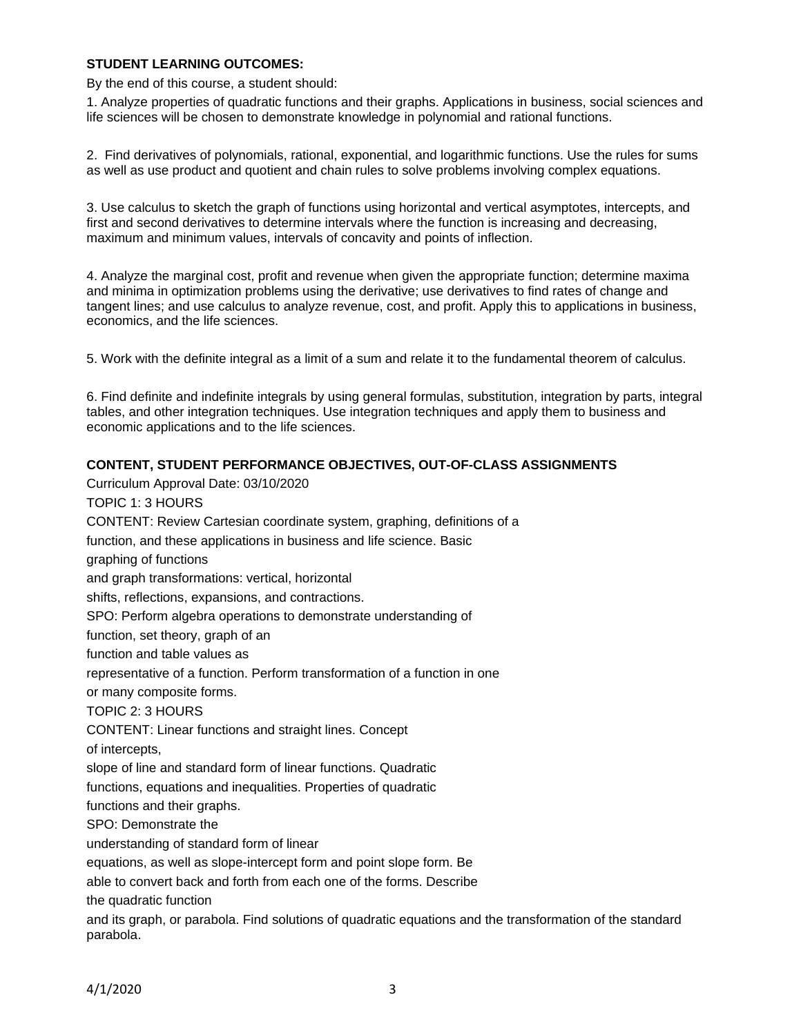### **STUDENT LEARNING OUTCOMES:**

By the end of this course, a student should:

1. Analyze properties of quadratic functions and their graphs. Applications in business, social sciences and life sciences will be chosen to demonstrate knowledge in polynomial and rational functions.

2. Find derivatives of polynomials, rational, exponential, and logarithmic functions. Use the rules for sums as well as use product and quotient and chain rules to solve problems involving complex equations.

3. Use calculus to sketch the graph of functions using horizontal and vertical asymptotes, intercepts, and first and second derivatives to determine intervals where the function is increasing and decreasing, maximum and minimum values, intervals of concavity and points of inflection.

4. Analyze the marginal cost, profit and revenue when given the appropriate function; determine maxima and minima in optimization problems using the derivative; use derivatives to find rates of change and tangent lines; and use calculus to analyze revenue, cost, and profit. Apply this to applications in business, economics, and the life sciences.

5. Work with the definite integral as a limit of a sum and relate it to the fundamental theorem of calculus.

6. Find definite and indefinite integrals by using general formulas, substitution, integration by parts, integral tables, and other integration techniques. Use integration techniques and apply them to business and economic applications and to the life sciences.

# **CONTENT, STUDENT PERFORMANCE OBJECTIVES, OUT-OF-CLASS ASSIGNMENTS**

Curriculum Approval Date: 03/10/2020 TOPIC 1: 3 HOURS CONTENT: Review Cartesian coordinate system, graphing, definitions of a function, and these applications in business and life science. Basic graphing of functions and graph transformations: vertical, horizontal shifts, reflections, expansions, and contractions. SPO: Perform algebra operations to demonstrate understanding of function, set theory, graph of an function and table values as representative of a function. Perform transformation of a function in one or many composite forms. TOPIC 2: 3 HOURS CONTENT: Linear functions and straight lines. Concept of intercepts, slope of line and standard form of linear functions. Quadratic functions, equations and inequalities. Properties of quadratic functions and their graphs. SPO: Demonstrate the understanding of standard form of linear equations, as well as slope-intercept form and point slope form. Be able to convert back and forth from each one of the forms. Describe the quadratic function and its graph, or parabola. Find solutions of quadratic equations and the transformation of the standard parabola.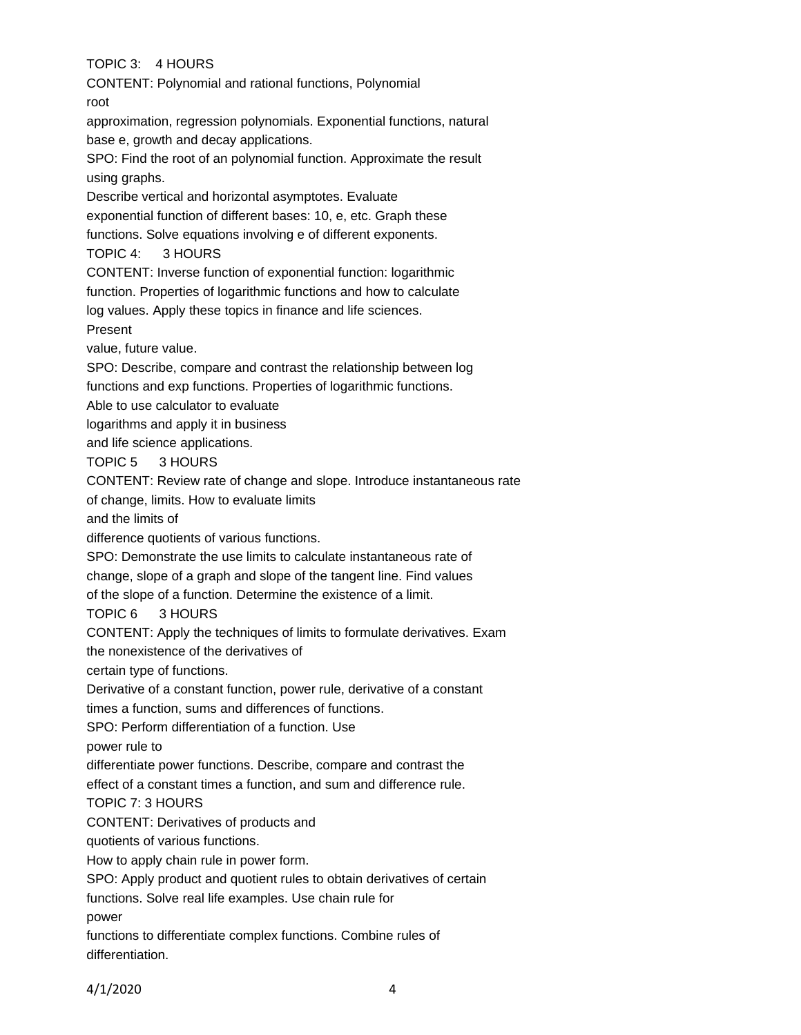TOPIC 3: 4 HOURS

CONTENT: Polynomial and rational functions, Polynomial

root

approximation, regression polynomials. Exponential functions, natural base e, growth and decay applications.

SPO: Find the root of an polynomial function. Approximate the result using graphs.

Describe vertical and horizontal asymptotes. Evaluate

exponential function of different bases: 10, e, etc. Graph these

functions. Solve equations involving e of different exponents.

TOPIC 4: 3 HOURS

CONTENT: Inverse function of exponential function: logarithmic

function. Properties of logarithmic functions and how to calculate

log values. Apply these topics in finance and life sciences.

Present

value, future value.

SPO: Describe, compare and contrast the relationship between log

functions and exp functions. Properties of logarithmic functions.

Able to use calculator to evaluate

logarithms and apply it in business

and life science applications.

TOPIC 5 3 HOURS

CONTENT: Review rate of change and slope. Introduce instantaneous rate

of change, limits. How to evaluate limits

and the limits of

difference quotients of various functions.

SPO: Demonstrate the use limits to calculate instantaneous rate of change, slope of a graph and slope of the tangent line. Find values of the slope of a function. Determine the existence of a limit.

TOPIC 6 3 HOURS

CONTENT: Apply the techniques of limits to formulate derivatives. Exam

the nonexistence of the derivatives of

certain type of functions.

Derivative of a constant function, power rule, derivative of a constant

times a function, sums and differences of functions.

SPO: Perform differentiation of a function. Use

power rule to

differentiate power functions. Describe, compare and contrast the

effect of a constant times a function, and sum and difference rule.

TOPIC 7: 3 HOURS

CONTENT: Derivatives of products and

quotients of various functions.

How to apply chain rule in power form.

SPO: Apply product and quotient rules to obtain derivatives of certain

functions. Solve real life examples. Use chain rule for

power

functions to differentiate complex functions. Combine rules of differentiation.

4/1/2020 4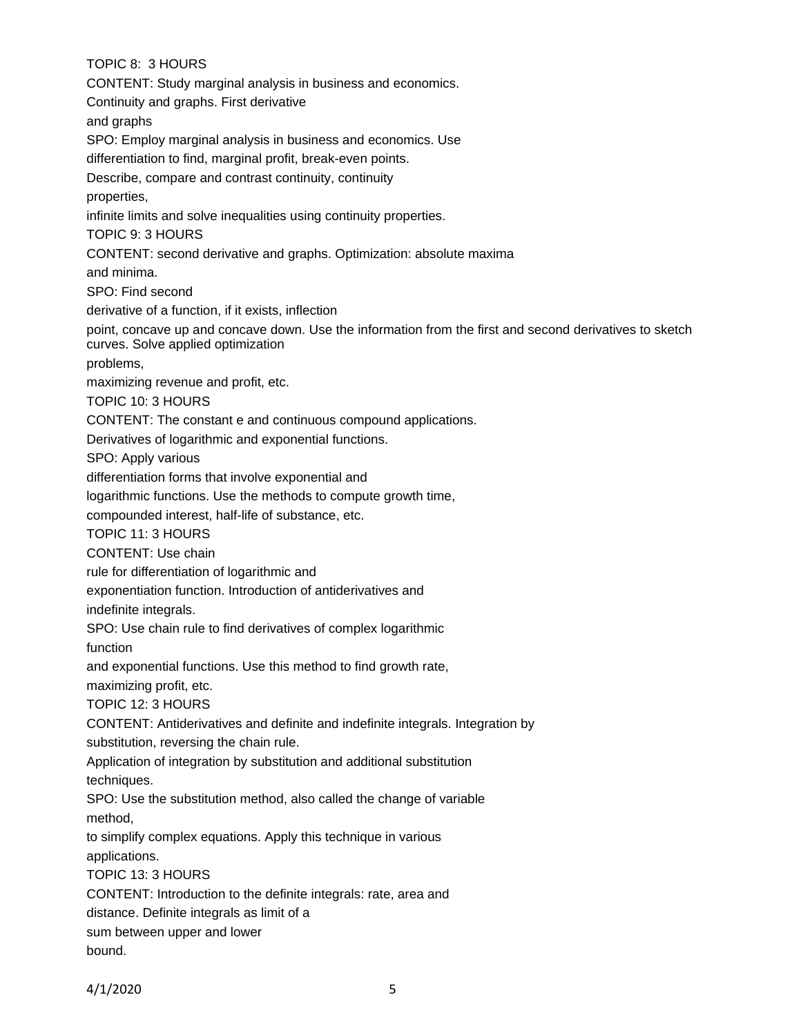TOPIC 8: 3 HOURS CONTENT: Study marginal analysis in business and economics. Continuity and graphs. First derivative and graphs SPO: Employ marginal analysis in business and economics. Use differentiation to find, marginal profit, break-even points. Describe, compare and contrast continuity, continuity properties, infinite limits and solve inequalities using continuity properties. TOPIC 9: 3 HOURS CONTENT: second derivative and graphs. Optimization: absolute maxima and minima. SPO: Find second derivative of a function, if it exists, inflection point, concave up and concave down. Use the information from the first and second derivatives to sketch curves. Solve applied optimization problems, maximizing revenue and profit, etc. TOPIC 10: 3 HOURS CONTENT: The constant e and continuous compound applications. Derivatives of logarithmic and exponential functions. SPO: Apply various differentiation forms that involve exponential and logarithmic functions. Use the methods to compute growth time, compounded interest, half-life of substance, etc. TOPIC 11: 3 HOURS CONTENT: Use chain rule for differentiation of logarithmic and exponentiation function. Introduction of antiderivatives and indefinite integrals. SPO: Use chain rule to find derivatives of complex logarithmic function and exponential functions. Use this method to find growth rate, maximizing profit, etc. TOPIC 12: 3 HOURS CONTENT: Antiderivatives and definite and indefinite integrals. Integration by substitution, reversing the chain rule. Application of integration by substitution and additional substitution techniques. SPO: Use the substitution method, also called the change of variable method, to simplify complex equations. Apply this technique in various applications. TOPIC 13: 3 HOURS CONTENT: Introduction to the definite integrals: rate, area and distance. Definite integrals as limit of a sum between upper and lower bound.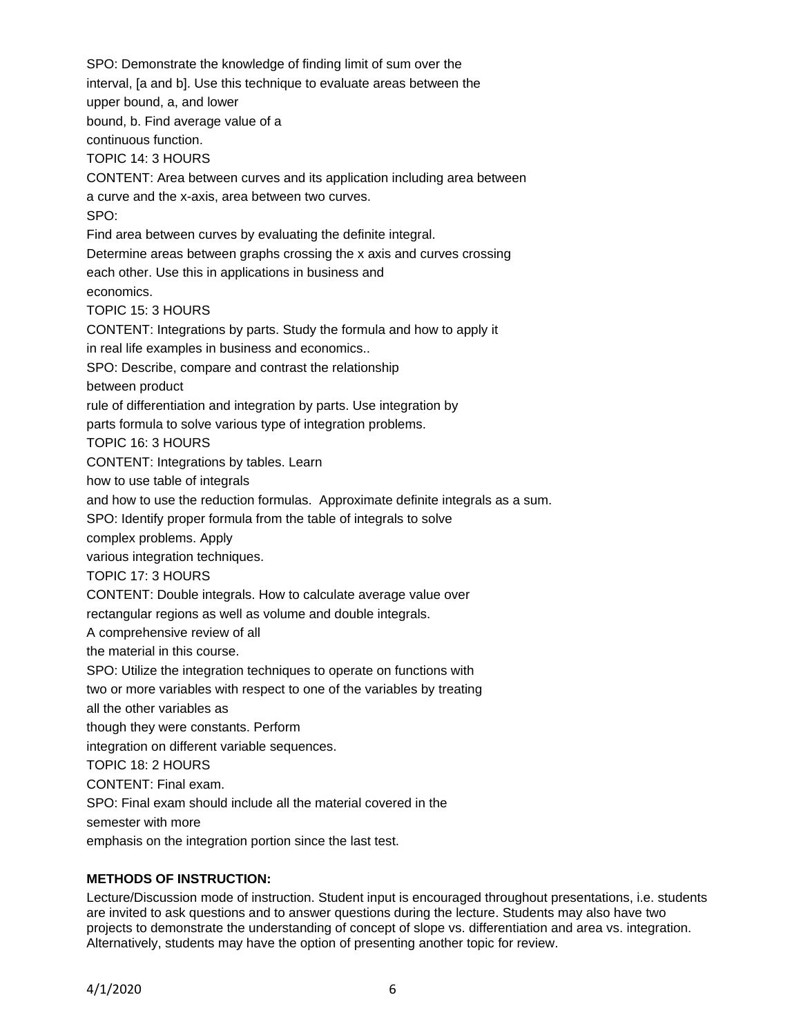SPO: Demonstrate the knowledge of finding limit of sum over the interval, [a and b]. Use this technique to evaluate areas between the upper bound, a, and lower bound, b. Find average value of a continuous function. TOPIC 14: 3 HOURS CONTENT: Area between curves and its application including area between a curve and the x-axis, area between two curves. SPO: Find area between curves by evaluating the definite integral. Determine areas between graphs crossing the x axis and curves crossing each other. Use this in applications in business and economics. TOPIC 15: 3 HOURS CONTENT: Integrations by parts. Study the formula and how to apply it in real life examples in business and economics.. SPO: Describe, compare and contrast the relationship between product rule of differentiation and integration by parts. Use integration by parts formula to solve various type of integration problems. TOPIC 16: 3 HOURS CONTENT: Integrations by tables. Learn how to use table of integrals and how to use the reduction formulas. Approximate definite integrals as a sum. SPO: Identify proper formula from the table of integrals to solve complex problems. Apply various integration techniques. TOPIC 17: 3 HOURS CONTENT: Double integrals. How to calculate average value over rectangular regions as well as volume and double integrals. A comprehensive review of all the material in this course. SPO: Utilize the integration techniques to operate on functions with two or more variables with respect to one of the variables by treating all the other variables as though they were constants. Perform integration on different variable sequences. TOPIC 18: 2 HOURS CONTENT: Final exam. SPO: Final exam should include all the material covered in the semester with more emphasis on the integration portion since the last test.

### **METHODS OF INSTRUCTION:**

Lecture/Discussion mode of instruction. Student input is encouraged throughout presentations, i.e. students are invited to ask questions and to answer questions during the lecture. Students may also have two projects to demonstrate the understanding of concept of slope vs. differentiation and area vs. integration. Alternatively, students may have the option of presenting another topic for review.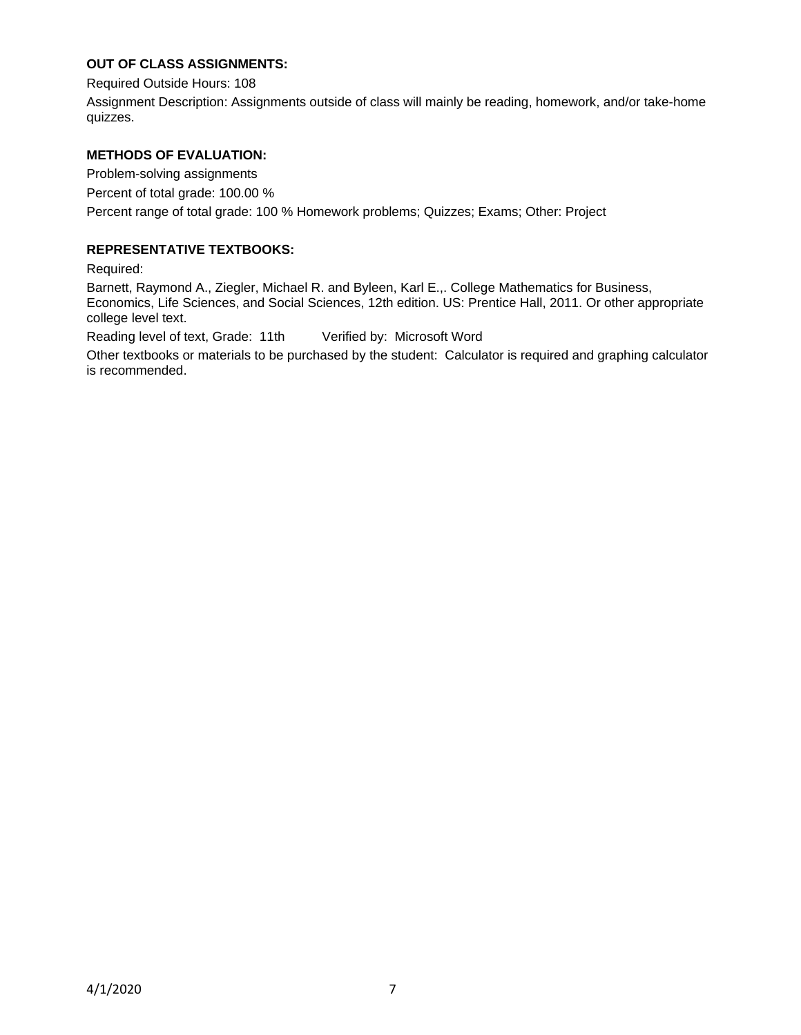## **OUT OF CLASS ASSIGNMENTS:**

Required Outside Hours: 108

Assignment Description: Assignments outside of class will mainly be reading, homework, and/or take-home quizzes.

### **METHODS OF EVALUATION:**

Problem-solving assignments Percent of total grade: 100.00 % Percent range of total grade: 100 % Homework problems; Quizzes; Exams; Other: Project

### **REPRESENTATIVE TEXTBOOKS:**

Required:

Barnett, Raymond A., Ziegler, Michael R. and Byleen, Karl E.,. College Mathematics for Business, Economics, Life Sciences, and Social Sciences, 12th edition. US: Prentice Hall, 2011. Or other appropriate college level text.

Reading level of text, Grade: 11th Verified by: Microsoft Word

Other textbooks or materials to be purchased by the student: Calculator is required and graphing calculator is recommended.